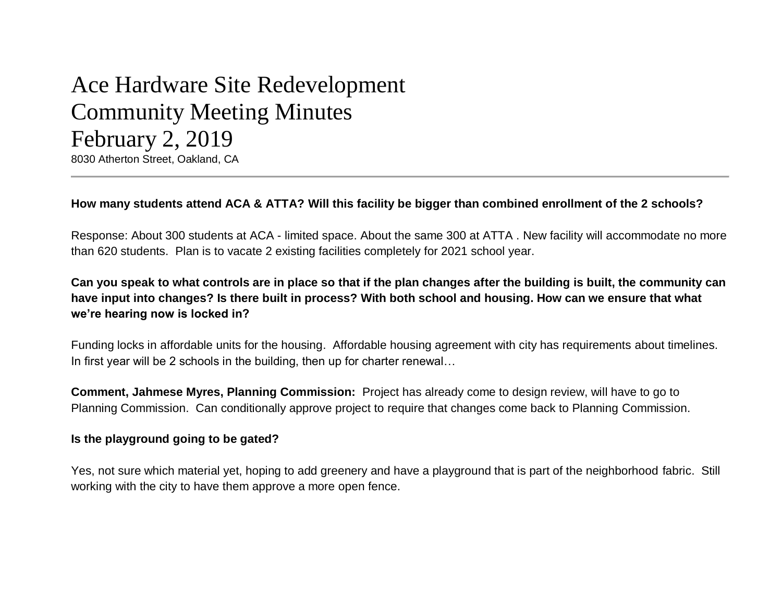# Ace Hardware Site Redevelopment Community Meeting Minutes February 2, 2019

8030 Atherton Street, Oakland, CA

# **How many students attend ACA & ATTA? Will this facility be bigger than combined enrollment of the 2 schools?**

Response: About 300 students at ACA - limited space. About the same 300 at ATTA . New facility will accommodate no more than 620 students. Plan is to vacate 2 existing facilities completely for 2021 school year.

# **Can you speak to what controls are in place so that if the plan changes after the building is built, the community can have input into changes? Is there built in process? With both school and housing. How can we ensure that what we're hearing now is locked in?**

Funding locks in affordable units for the housing. Affordable housing agreement with city has requirements about timelines. In first year will be 2 schools in the building, then up for charter renewal...

**Comment, Jahmese Myres, Planning Commission:** Project has already come to design review, will have to go to Planning Commission. Can conditionally approve project to require that changes come back to Planning Commission.

## **Is the playground going to be gated?**

Yes, not sure which material yet, hoping to add greenery and have a playground that is part of the neighborhood fabric. Still working with the city to have them approve a more open fence.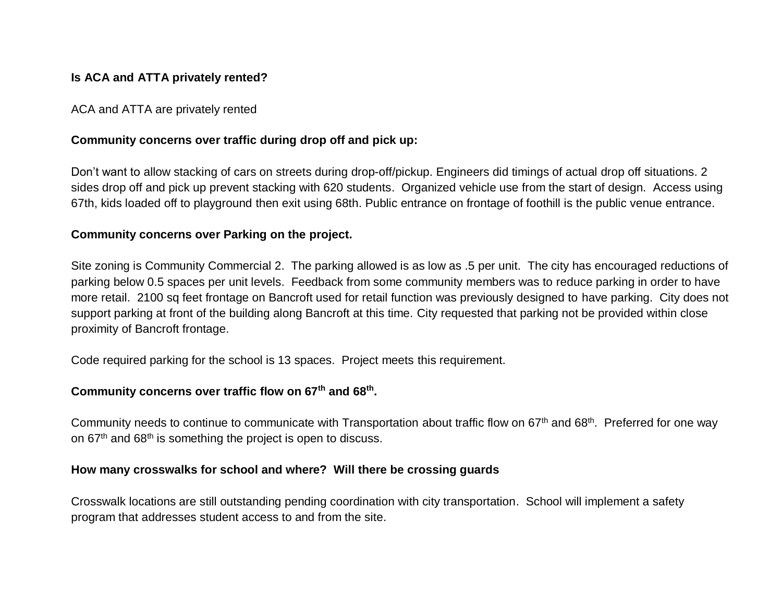## **Is ACA and ATTA privately rented?**

ACA and ATTA are privately rented

## **Community concerns over traffic during drop off and pick up:**

Don't want to allow stacking of cars on streets during drop-off/pickup. Engineers did timings of actual drop off situations. 2 sides drop off and pick up prevent stacking with 620 students. Organized vehicle use from the start of design. Access using 67th, kids loaded off to playground then exit using 68th. Public entrance on frontage of foothill is the public venue entrance.

## **Community concerns over Parking on the project.**

Site zoning is Community Commercial 2. The parking allowed is as low as .5 per unit. The city has encouraged reductions of parking below 0.5 spaces per unit levels. Feedback from some community members was to reduce parking in order to have more retail. 2100 sq feet frontage on Bancroft used for retail function was previously designed to have parking. City does not support parking at front of the building along Bancroft at this time. City requested that parking not be provided within close proximity of Bancroft frontage.

Code required parking for the school is 13 spaces. Project meets this requirement.

## **Community concerns over traffic flow on 67th and 68th .**

Community needs to continue to communicate with Transportation about traffic flow on 67<sup>th</sup> and 68<sup>th</sup>. Preferred for one way on  $67<sup>th</sup>$  and  $68<sup>th</sup>$  is something the project is open to discuss.

## **How many crosswalks for school and where? Will there be crossing guards**

Crosswalk locations are still outstanding pending coordination with city transportation. School will implement a safety program that addresses student access to and from the site.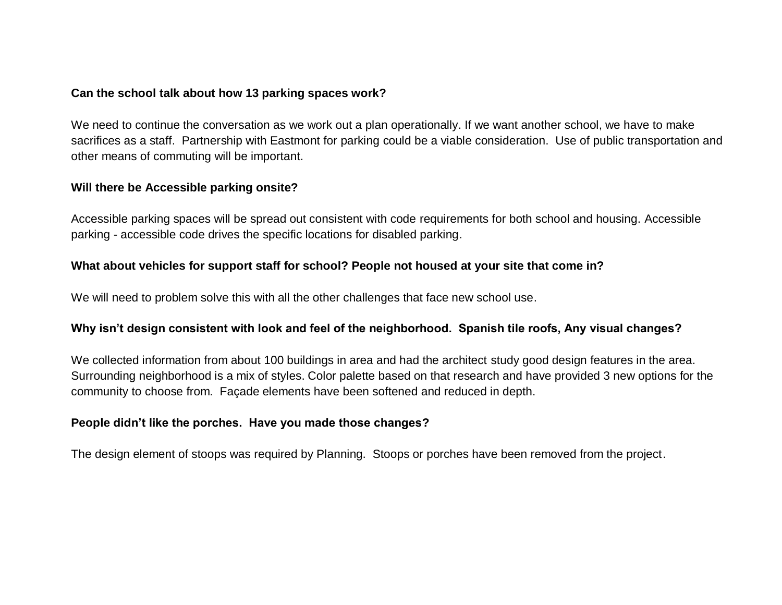### **Can the school talk about how 13 parking spaces work?**

We need to continue the conversation as we work out a plan operationally. If we want another school, we have to make sacrifices as a staff. Partnership with Eastmont for parking could be a viable consideration. Use of public transportation and other means of commuting will be important.

#### **Will there be Accessible parking onsite?**

Accessible parking spaces will be spread out consistent with code requirements for both school and housing. Accessible parking - accessible code drives the specific locations for disabled parking.

## **What about vehicles for support staff for school? People not housed at your site that come in?**

We will need to problem solve this with all the other challenges that face new school use.

## **Why isn't design consistent with look and feel of the neighborhood. Spanish tile roofs, Any visual changes?**

We collected information from about 100 buildings in area and had the architect study good design features in the area. Surrounding neighborhood is a mix of styles. Color palette based on that research and have provided 3 new options for the community to choose from. Façade elements have been softened and reduced in depth.

#### **People didn't like the porches. Have you made those changes?**

The design element of stoops was required by Planning. Stoops or porches have been removed from the project.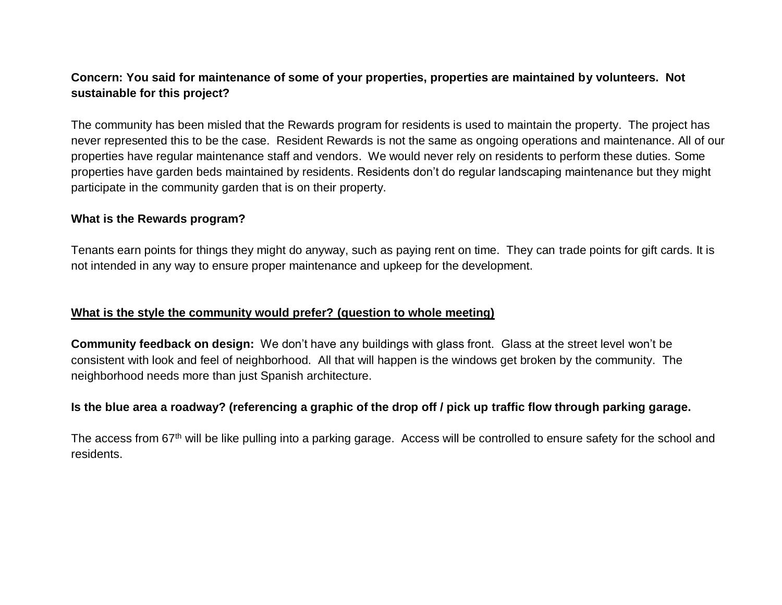# **Concern: You said for maintenance of some of your properties, properties are maintained by volunteers. Not sustainable for this project?**

The community has been misled that the Rewards program for residents is used to maintain the property. The project has never represented this to be the case. Resident Rewards is not the same as ongoing operations and maintenance. All of our properties have regular maintenance staff and vendors. We would never rely on residents to perform these duties. Some properties have garden beds maintained by residents. Residents don't do regular landscaping maintenance but they might participate in the community garden that is on their property.

#### **What is the Rewards program?**

Tenants earn points for things they might do anyway, such as paying rent on time. They can trade points for gift cards. It is not intended in any way to ensure proper maintenance and upkeep for the development.

## **What is the style the community would prefer? (question to whole meeting)**

**Community feedback on design:** We don't have any buildings with glass front. Glass at the street level won't be consistent with look and feel of neighborhood. All that will happen is the windows get broken by the community. The neighborhood needs more than just Spanish architecture.

## **Is the blue area a roadway? (referencing a graphic of the drop off / pick up traffic flow through parking garage.**

The access from 67<sup>th</sup> will be like pulling into a parking garage. Access will be controlled to ensure safety for the school and residents.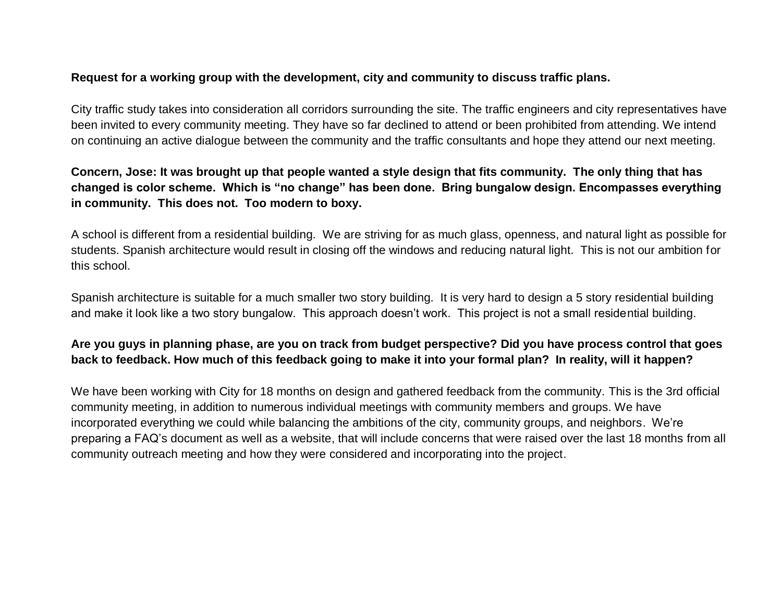## **Request for a working group with the development, city and community to discuss traffic plans.**

City traffic study takes into consideration all corridors surrounding the site. The traffic engineers and city representatives have been invited to every community meeting. They have so far declined to attend or been prohibited from attending. We intend on continuing an active dialogue between the community and the traffic consultants and hope they attend our next meeting.

# **Concern, Jose: It was brought up that people wanted a style design that fits community. The only thing that has changed is color scheme. Which is "no change" has been done. Bring bungalow design. Encompasses everything in community. This does not. Too modern to boxy.**

A school is different from a residential building. We are striving for as much glass, openness, and natural light as possible for students. Spanish architecture would result in closing off the windows and reducing natural light. This is not our ambition for this school.

Spanish architecture is suitable for a much smaller two story building. It is very hard to design a 5 story residential building and make it look like a two story bungalow. This approach doesn't work. This project is not a small residential building.

# **Are you guys in planning phase, are you on track from budget perspective? Did you have process control that goes back to feedback. How much of this feedback going to make it into your formal plan? In reality, will it happen?**

We have been working with City for 18 months on design and gathered feedback from the community. This is the 3rd official community meeting, in addition to numerous individual meetings with community members and groups. We have incorporated everything we could while balancing the ambitions of the city, community groups, and neighbors. We're preparing a FAQ's document as well as a website, that will include concerns that were raised over the last 18 months from all community outreach meeting and how they were considered and incorporating into the project.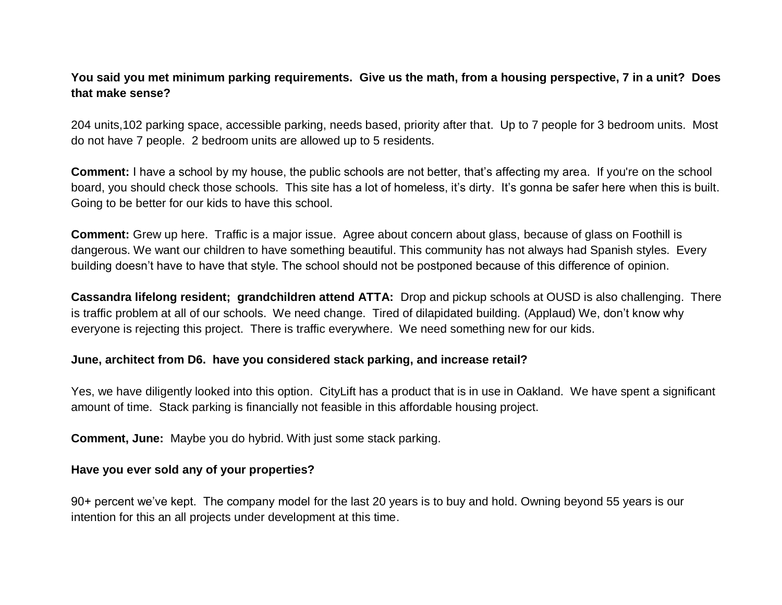# **You said you met minimum parking requirements. Give us the math, from a housing perspective, 7 in a unit? Does that make sense?**

204 units,102 parking space, accessible parking, needs based, priority after that. Up to 7 people for 3 bedroom units. Most do not have 7 people. 2 bedroom units are allowed up to 5 residents.

**Comment:** I have a school by my house, the public schools are not better, that's affecting my area. If you're on the school board, you should check those schools. This site has a lot of homeless, it's dirty. It's gonna be safer here when this is built. Going to be better for our kids to have this school.

**Comment:** Grew up here. Traffic is a major issue. Agree about concern about glass, because of glass on Foothill is dangerous. We want our children to have something beautiful. This community has not always had Spanish styles. Every building doesn't have to have that style. The school should not be postponed because of this difference of opinion.

**Cassandra lifelong resident; grandchildren attend ATTA:** Drop and pickup schools at OUSD is also challenging. There is traffic problem at all of our schools. We need change. Tired of dilapidated building. (Applaud) We, don't know why everyone is rejecting this project. There is traffic everywhere. We need something new for our kids.

#### **June, architect from D6. have you considered stack parking, and increase retail?**

Yes, we have diligently looked into this option. CityLift has a product that is in use in Oakland. We have spent a significant amount of time. Stack parking is financially not feasible in this affordable housing project.

**Comment, June:** Maybe you do hybrid. With just some stack parking.

## **Have you ever sold any of your properties?**

90+ percent we've kept. The company model for the last 20 years is to buy and hold. Owning beyond 55 years is our intention for this an all projects under development at this time.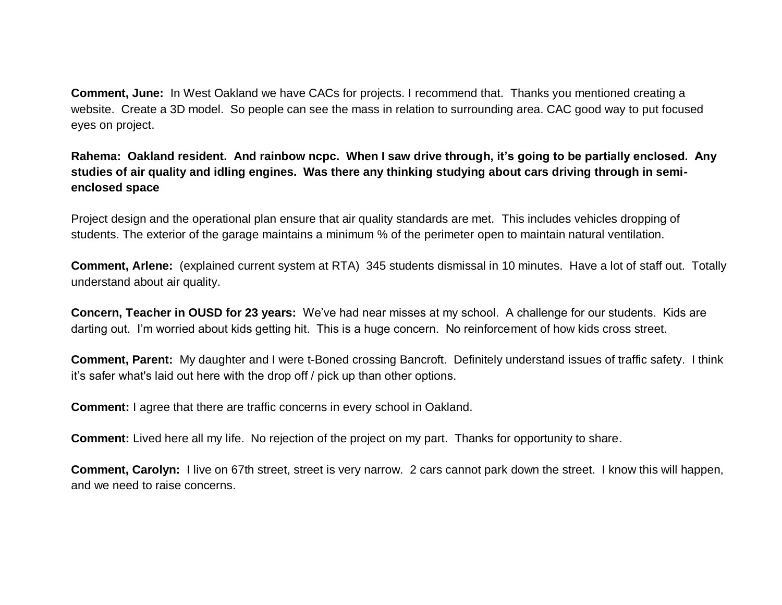**Comment, June:** In West Oakland we have CACs for projects. I recommend that. Thanks you mentioned creating a website. Create a 3D model. So people can see the mass in relation to surrounding area. CAC good way to put focused eyes on project.

# **Rahema: Oakland resident. And rainbow ncpc. When I saw drive through, it's going to be partially enclosed. Any studies of air quality and idling engines. Was there any thinking studying about cars driving through in semienclosed space**

Project design and the operational plan ensure that air quality standards are met. This includes vehicles dropping of students. The exterior of the garage maintains a minimum % of the perimeter open to maintain natural ventilation.

**Comment, Arlene:** (explained current system at RTA) 345 students dismissal in 10 minutes. Have a lot of staff out. Totally understand about air quality.

**Concern, Teacher in OUSD for 23 years:** We've had near misses at my school. A challenge for our students. Kids are darting out. I'm worried about kids getting hit. This is a huge concern. No reinforcement of how kids cross street.

**Comment, Parent:** My daughter and I were t-Boned crossing Bancroft. Definitely understand issues of traffic safety. I think it's safer what's laid out here with the drop off / pick up than other options.

**Comment:** I agree that there are traffic concerns in every school in Oakland.

**Comment:** Lived here all my life. No rejection of the project on my part. Thanks for opportunity to share.

**Comment, Carolyn:** I live on 67th street, street is very narrow. 2 cars cannot park down the street. I know this will happen, and we need to raise concerns.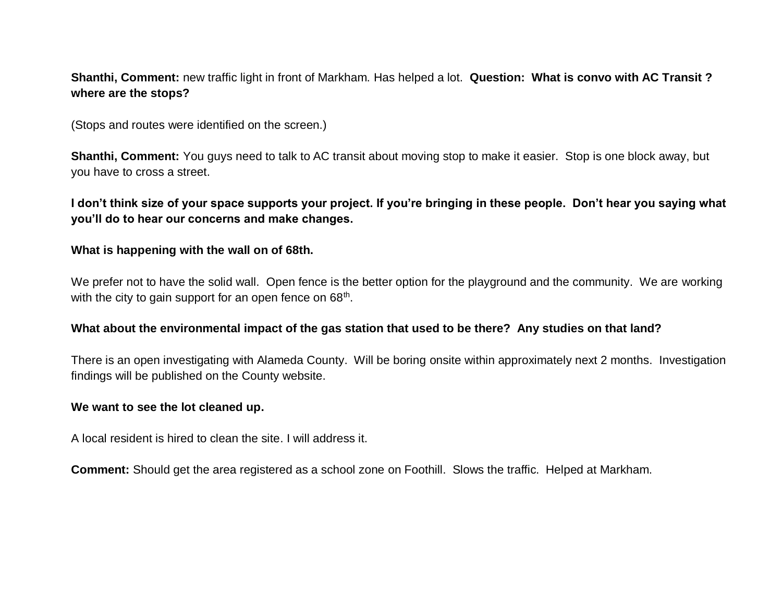# **Shanthi, Comment:** new traffic light in front of Markham. Has helped a lot. **Question: What is convo with AC Transit ? where are the stops?**

(Stops and routes were identified on the screen.)

**Shanthi, Comment:** You guys need to talk to AC transit about moving stop to make it easier. Stop is one block away, but you have to cross a street.

**I don't think size of your space supports your project. If you're bringing in these people. Don't hear you saying what you'll do to hear our concerns and make changes.** 

#### **What is happening with the wall on of 68th.**

We prefer not to have the solid wall. Open fence is the better option for the playground and the community. We are working with the city to gain support for an open fence on  $68<sup>th</sup>$ .

#### **What about the environmental impact of the gas station that used to be there? Any studies on that land?**

There is an open investigating with Alameda County. Will be boring onsite within approximately next 2 months. Investigation findings will be published on the County website.

#### **We want to see the lot cleaned up.**

A local resident is hired to clean the site. I will address it.

**Comment:** Should get the area registered as a school zone on Foothill. Slows the traffic. Helped at Markham.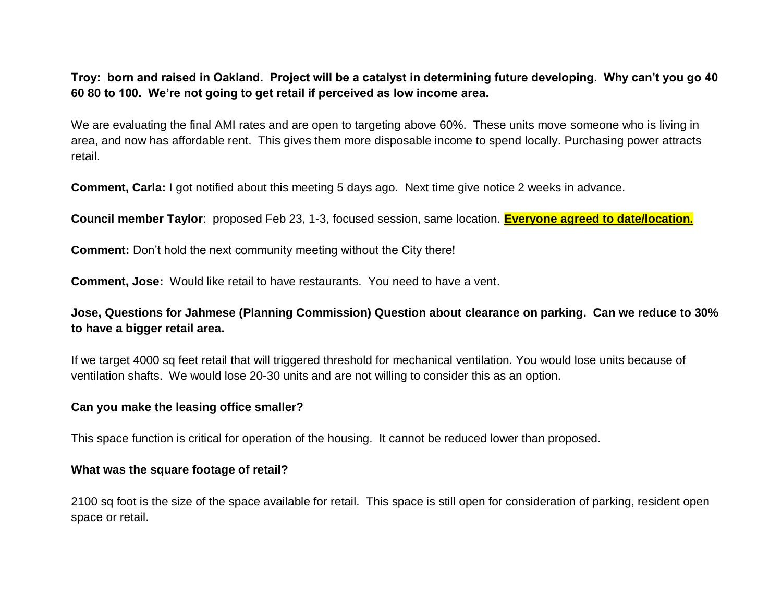**Troy: born and raised in Oakland. Project will be a catalyst in determining future developing. Why can't you go 40 60 80 to 100. We're not going to get retail if perceived as low income area.** 

We are evaluating the final AMI rates and are open to targeting above 60%. These units move someone who is living in area, and now has affordable rent. This gives them more disposable income to spend locally. Purchasing power attracts retail.

**Comment, Carla:** I got notified about this meeting 5 days ago. Next time give notice 2 weeks in advance.

**Council member Taylor**: proposed Feb 23, 1-3, focused session, same location. **Everyone agreed to date/location.**

**Comment:** Don't hold the next community meeting without the City there!

**Comment, Jose:** Would like retail to have restaurants. You need to have a vent.

**Jose, Questions for Jahmese (Planning Commission) Question about clearance on parking. Can we reduce to 30% to have a bigger retail area.**

If we target 4000 sq feet retail that will triggered threshold for mechanical ventilation. You would lose units because of ventilation shafts. We would lose 20-30 units and are not willing to consider this as an option.

#### **Can you make the leasing office smaller?**

This space function is critical for operation of the housing. It cannot be reduced lower than proposed.

#### **What was the square footage of retail?**

2100 sq foot is the size of the space available for retail. This space is still open for consideration of parking, resident open space or retail.